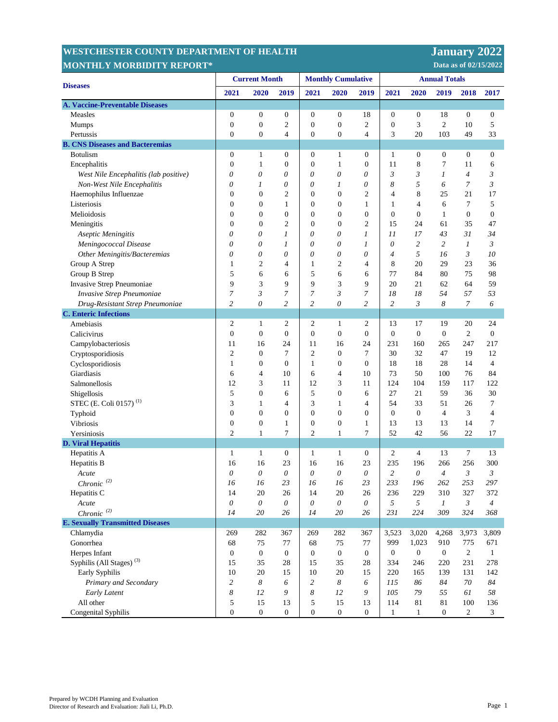## **WESTCHESTER COUNTY DEPARTMENT MONTHLY MORBIDITY REPORT\***

 **Data as of 02/15/2022 January 2022** 

| <b>Diseases</b>                         | <b>Current Month</b>  |                  |                  | <b>Monthly Cumulative</b> |                  |                  | <b>Annual Totals</b> |                  |                  |                  |                  |
|-----------------------------------------|-----------------------|------------------|------------------|---------------------------|------------------|------------------|----------------------|------------------|------------------|------------------|------------------|
|                                         | 2021                  | 2020             | 2019             | 2021                      | 2020             | 2019             | 2021                 | 2020             | 2019             | 2018             | 2017             |
| <b>A. Vaccine-Preventable Diseases</b>  |                       |                  |                  |                           |                  |                  |                      |                  |                  |                  |                  |
| Measles                                 | $\boldsymbol{0}$      | $\boldsymbol{0}$ | $\boldsymbol{0}$ | $\boldsymbol{0}$          | $\boldsymbol{0}$ | 18               | $\boldsymbol{0}$     | $\boldsymbol{0}$ | 18               | $\boldsymbol{0}$ | $\boldsymbol{0}$ |
| <b>Mumps</b>                            | $\boldsymbol{0}$      | $\boldsymbol{0}$ | $\overline{c}$   | $\boldsymbol{0}$          | $\boldsymbol{0}$ | $\overline{c}$   | $\boldsymbol{0}$     | 3                | $\mathfrak{2}$   | 10               | 5                |
| Pertussis                               | $\mathbf{0}$          | $\boldsymbol{0}$ | 4                | $\boldsymbol{0}$          | $\boldsymbol{0}$ | 4                | 3                    | 20               | 103              | 49               | 33               |
| <b>B. CNS Diseases and Bacteremias</b>  |                       |                  |                  |                           |                  |                  |                      |                  |                  |                  |                  |
| <b>Botulism</b>                         | $\boldsymbol{0}$      | $\mathbf{1}$     | $\boldsymbol{0}$ | $\boldsymbol{0}$          | $\mathbf{1}$     | $\boldsymbol{0}$ | 1                    | $\boldsymbol{0}$ | $\boldsymbol{0}$ | $\boldsymbol{0}$ | $\boldsymbol{0}$ |
| Encephalitis                            | $\boldsymbol{0}$      | $\mathbf{1}$     | $\boldsymbol{0}$ | $\boldsymbol{0}$          | $\mathbf{1}$     | $\boldsymbol{0}$ | 11                   | 8                | 7                | 11               | 6                |
| West Nile Encephalitis (lab positive)   | 0                     | 0                | 0                | 0                         | 0                | 0                | $\mathfrak{Z}$       | 3                | 1                | $\overline{4}$   | $\mathfrak{Z}$   |
| Non-West Nile Encephalitis              | 0                     | 1                | 0                | 0                         | 1                | $\theta$         | 8                    | 5                | 6                | $\overline{7}$   | 3                |
| Haemophilus Influenzae                  | $\boldsymbol{0}$      | $\overline{0}$   | $\overline{c}$   | $\boldsymbol{0}$          | $\boldsymbol{0}$ | $\overline{2}$   | 4                    | 8                | 25               | 21               | 17               |
| Listeriosis                             | $\mathbf{0}$          | $\overline{0}$   | 1                | $\boldsymbol{0}$          | $\mathbf{0}$     | 1                | 1                    | 4                | 6                | 7                | 5                |
| Melioidosis                             | $\boldsymbol{0}$      | $\boldsymbol{0}$ | $\mathbf{0}$     | $\boldsymbol{0}$          | $\boldsymbol{0}$ | $\overline{0}$   | $\boldsymbol{0}$     | $\boldsymbol{0}$ | $\mathbf{1}$     | $\boldsymbol{0}$ | $\boldsymbol{0}$ |
| Meningitis                              | $\boldsymbol{0}$      | $\boldsymbol{0}$ | $\overline{c}$   | $\boldsymbol{0}$          | $\boldsymbol{0}$ | $\overline{c}$   | 15                   | 24               | 61               | 35               | 47               |
| Aseptic Meningitis                      | $\theta$              | 0                | 1                | 0                         | 0                | 1                | 11                   | 17               | 43               | 31               | 34               |
| Meningococcal Disease                   | $\theta$              | 0                | 1                | 0                         | 0                | 1                | $\theta$             | 2                | 2                | $\boldsymbol{l}$ | 3                |
| Other Meningitis/Bacteremias            | $\theta$              | 0                | 0                | 0                         | 0                | 0                | $\overline{4}$       | 5                | 16               | 3                | 10               |
| Group A Strep                           | 1                     | $\overline{2}$   | $\overline{4}$   | 1                         | $\overline{2}$   | 4                | 8                    | 20               | 29               | 23               | 36               |
| Group B Strep                           | 5                     | 6                | 6                | 5                         | 6                | 6                | 77                   | 84               | 80               | 75               | 98               |
| Invasive Strep Pneumoniae               | 9                     | 3                | 9                | 9                         | 3                | 9                | 20                   | 21               | 62               | 64               | 59               |
| Invasive Strep Pneumoniae               | $\boldsymbol{7}$      | 3                | 7                | 7                         | 3                | 7                | 18                   | 18               | 54               | 57               | 53               |
| Drug-Resistant Strep Pneumoniae         | $\overline{c}$        | $\theta$         | $\overline{c}$   | $\overline{c}$            | $\theta$         | $\overline{c}$   | $\overline{c}$       | 3                | 8                | $\overline{7}$   | 6                |
| <b>C.</b> Enteric Infections            |                       |                  |                  |                           |                  |                  |                      |                  |                  |                  |                  |
| Amebiasis                               | $\mathfrak{2}$        | $\mathbf{1}$     | 2                | 2                         | $\mathbf{1}$     | 2                | 13                   | 17               | 19               | 20               | 24               |
| Calicivirus                             | $\boldsymbol{0}$      | $\boldsymbol{0}$ | $\boldsymbol{0}$ | $\boldsymbol{0}$          | $\boldsymbol{0}$ | $\boldsymbol{0}$ | $\boldsymbol{0}$     | $\boldsymbol{0}$ | $\boldsymbol{0}$ | $\mathfrak{2}$   | $\boldsymbol{0}$ |
| Campylobacteriosis                      | 11                    | 16               | 24               | 11                        | 16               | 24               | 231                  | 160              | 265              | 247              | 217              |
| Cryptosporidiosis                       | $\mathfrak{2}$        | $\boldsymbol{0}$ | 7                | $\overline{c}$            | $\boldsymbol{0}$ | $\tau$           | 30                   | 32               | 47               | 19               | 12               |
| Cyclosporidiosis                        | 1                     | $\boldsymbol{0}$ | $\boldsymbol{0}$ | $\mathbf{1}$              | $\mathbf{0}$     | $\overline{0}$   | 18                   | 18               | 28               | 14               | $\overline{4}$   |
| Giardiasis                              | 6                     | 4                | 10               | 6                         | 4                | 10               | 73                   | 50               | 100              | 76               | 84               |
| Salmonellosis                           | 12                    | 3                | 11               | 12                        | 3                | 11               | 124                  | 104              | 159              | 117              | 122              |
| Shigellosis                             | 5                     | $\mathbf{0}$     | 6                | 5                         | $\boldsymbol{0}$ | 6                | 27                   | 21               | 59               | 36               | 30               |
| STEC (E. Coli 0157) <sup>(1)</sup>      | 3                     | $\mathbf{1}$     | 4                | 3                         | $\mathbf{1}$     | 4                | 54                   | 33               | 51               | 26               | $\tau$           |
| Typhoid                                 | $\mathbf{0}$          | $\boldsymbol{0}$ | $\boldsymbol{0}$ | $\overline{0}$            | $\overline{0}$   | $\mathbf{0}$     | $\boldsymbol{0}$     | $\boldsymbol{0}$ | $\overline{4}$   | 3                | $\overline{4}$   |
| Vibriosis                               | $\boldsymbol{0}$      | $\boldsymbol{0}$ | 1                | $\boldsymbol{0}$          | $\mathbf{0}$     | $\mathbf{1}$     | 13                   | 13               | 13               | 14               | 7                |
| Yersiniosis                             | $\overline{c}$        | $\mathbf{1}$     | 7                | $\overline{c}$            | $\mathbf{1}$     | $\tau$           | 52                   | 42               | 56               | 22               | 17               |
| <b>D. Viral Hepatitis</b>               |                       |                  |                  |                           |                  |                  |                      |                  |                  |                  |                  |
| Hepatitis A                             | $\mathbf{1}$          | $\mathbf{1}$     | $\boldsymbol{0}$ | $\mathbf{1}$              | $\mathbf{1}$     | $\mathbf{0}$     | 2                    | $\overline{4}$   | 13               | $\tau$           | 13               |
| Hepatitis B                             | 16                    | 16               | 23               | 16                        | 16               | 23               | 235                  | 196              | 266              | 256              | 300              |
| Acute                                   | $\theta$              | $\theta$         | 0                | 0                         | 0                | $\theta$         | $\overline{c}$       | 0                | 4                | 3                | 3                |
| $Chronic\ ^{(2)}$                       | 16                    | 16               | 23               | 16                        | 16               | 23               | 233                  | 196              | 262              | 253              | 297              |
| Hepatitis C                             | 14                    | $20\,$           | 26               | 14                        | 20               | 26               | 236                  | 229              | 310              | 327              | 372              |
| Acute                                   | $\boldsymbol{\theta}$ | $\theta$         | 0                | $\boldsymbol{\theta}$     | $\theta$         | $\theta$         | 5                    | 5                | $\boldsymbol{l}$ | 3                | $\overline{4}$   |
| Chronic $(2)$                           | 14                    | $20\,$           | 26               | 14                        | 20               | 26               | 231                  | 224              | 309              | 324              | 368              |
| <b>E. Sexually Transmitted Diseases</b> |                       |                  |                  |                           |                  |                  |                      |                  |                  |                  |                  |
| Chlamydia                               | 269                   | 282              | 367              | 269                       | 282              | 367              | 3,523                | 3,020            | 4,268            | 3,973            | 3,809            |
| Gonorrhea                               | 68                    | 75               | 77               | 68                        | 75               | 77               | 999                  | 1,023            | 910              | 775              | 671              |
| Herpes Infant                           | $\boldsymbol{0}$      | $\mathbf{0}$     | $\boldsymbol{0}$ | $\boldsymbol{0}$          | $\overline{0}$   | $\mathbf{0}$     | 0                    | $\boldsymbol{0}$ | $\overline{0}$   | $\overline{2}$   | $\mathbf{1}$     |
| Syphilis (All Stages) <sup>(3)</sup>    | 15                    | 35               | 28               | 15                        | 35               | 28               | 334                  | 246              | 220              | 231              | 278              |
| Early Syphilis                          | 10                    | 20               | 15               | 10                        | 20               | 15               | 220                  | 165              | 139              | 131              | 142              |
| Primary and Secondary                   | $\overline{c}$        | 8                | 6                | $\overline{c}$            | 8                | 6                | 115                  | 86               | 84               | 70               | 84               |
| Early Latent                            | 8                     | 12               | 9                | 8                         | 12               | 9                | 105                  | 79               | 55               | 61               | 58               |
| All other                               | 5                     | 15               | 13               | 5                         | 15               | 13               | 114                  | 81               | 81               | 100              | 136              |
| Congenital Syphilis                     | $\boldsymbol{0}$      | $\mathbf{0}$     | $\boldsymbol{0}$ | $\boldsymbol{0}$          | $\boldsymbol{0}$ | $\boldsymbol{0}$ | $\mathbf{1}$         | $\mathbf{1}$     | $\boldsymbol{0}$ | $\sqrt{2}$       | 3                |